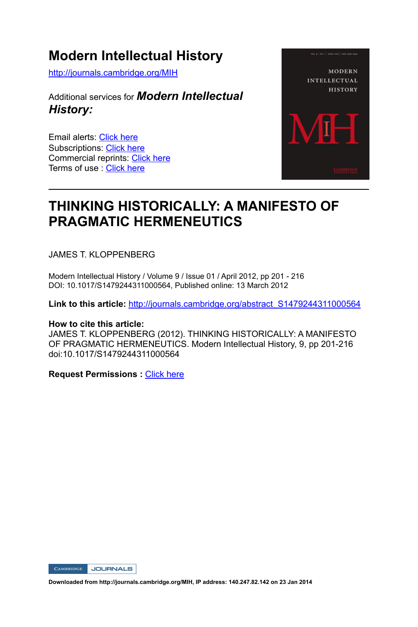# **Modern Intellectual History**

http://journals.cambridge.org/MIH

Additional services for *Modern Intellectual History:*

Email alerts: Click here Subscriptions: Click here Commercial reprints: Click here Terms of use : Click here



# **THINKING HISTORICALLY: A MANIFESTO OF PRAGMATIC HERMENEUTICS**

JAMES T. KLOPPENBERG

Modern Intellectual History / Volume 9 / Issue 01 / April 2012, pp 201 - 216 DOI: 10.1017/S1479244311000564, Published online: 13 March 2012

**Link to this article:** http://journals.cambridge.org/abstract\_S1479244311000564

#### **How to cite this article:**

JAMES T. KLOPPENBERG (2012). THINKING HISTORICALLY: A MANIFESTO OF PRAGMATIC HERMENEUTICS. Modern Intellectual History, 9, pp 201-216 doi:10.1017/S1479244311000564

**Request Permissions :** Click here

CAMBRIDGE JOURNALS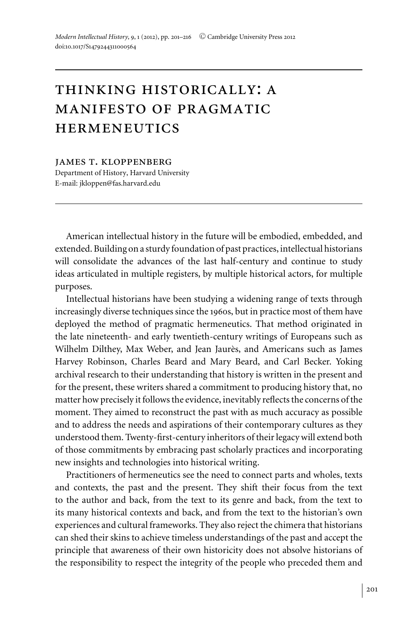# thinking historically: a manifesto of pragmatic **HERMENEUTICS**

#### james t. kloppenberg

Department of History, Harvard University E-mail: jkloppen@fas.harvard.edu

American intellectual history in the future will be embodied, embedded, and extended. Building on a sturdy foundation of past practices, intellectual historians will consolidate the advances of the last half-century and continue to study ideas articulated in multiple registers, by multiple historical actors, for multiple purposes.

Intellectual historians have been studying a widening range of texts through increasingly diverse techniques since the 1960s, but in practice most of them have deployed the method of pragmatic hermeneutics. That method originated in the late nineteenth- and early twentieth-century writings of Europeans such as Wilhelm Dilthey, Max Weber, and Jean Jaurès, and Americans such as James Harvey Robinson, Charles Beard and Mary Beard, and Carl Becker. Yoking archival research to their understanding that history is written in the present and for the present, these writers shared a commitment to producing history that, no matter how precisely it follows the evidence, inevitably reflects the concerns of the moment. They aimed to reconstruct the past with as much accuracy as possible and to address the needs and aspirations of their contemporary cultures as they understood them. Twenty-first-century inheritors of their legacy will extend both of those commitments by embracing past scholarly practices and incorporating new insights and technologies into historical writing.

Practitioners of hermeneutics see the need to connect parts and wholes, texts and contexts, the past and the present. They shift their focus from the text to the author and back, from the text to its genre and back, from the text to its many historical contexts and back, and from the text to the historian's own experiences and cultural frameworks. They also reject the chimera that historians can shed their skins to achieve timeless understandings of the past and accept the principle that awareness of their own historicity does not absolve historians of the responsibility to respect the integrity of the people who preceded them and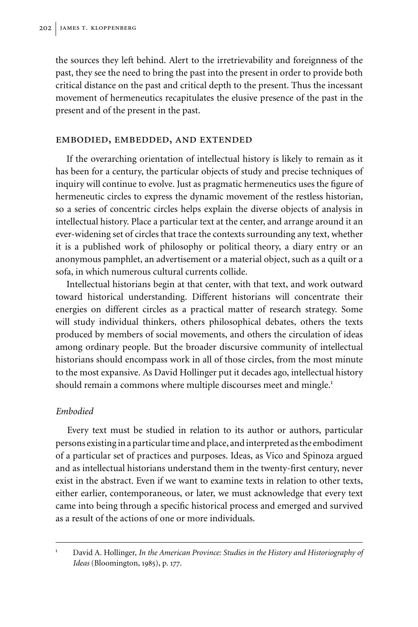the sources they left behind. Alert to the irretrievability and foreignness of the past, they see the need to bring the past into the present in order to provide both critical distance on the past and critical depth to the present. Thus the incessant movement of hermeneutics recapitulates the elusive presence of the past in the present and of the present in the past.

### embodied, embedded, and extended

If the overarching orientation of intellectual history is likely to remain as it has been for a century, the particular objects of study and precise techniques of inquiry will continue to evolve. Just as pragmatic hermeneutics uses the figure of hermeneutic circles to express the dynamic movement of the restless historian, so a series of concentric circles helps explain the diverse objects of analysis in intellectual history. Place a particular text at the center, and arrange around it an ever-widening set of circles that trace the contexts surrounding any text, whether it is a published work of philosophy or political theory, a diary entry or an anonymous pamphlet, an advertisement or a material object, such as a quilt or a sofa, in which numerous cultural currents collide.

Intellectual historians begin at that center, with that text, and work outward toward historical understanding. Different historians will concentrate their energies on different circles as a practical matter of research strategy. Some will study individual thinkers, others philosophical debates, others the texts produced by members of social movements, and others the circulation of ideas among ordinary people. But the broader discursive community of intellectual historians should encompass work in all of those circles, from the most minute to the most expansive. As David Hollinger put it decades ago, intellectual history should remain a commons where multiple discourses meet and mingle.<sup>1</sup>

## *Embodied*

Every text must be studied in relation to its author or authors, particular persons existing in a particular time and place, and interpreted as the embodiment of a particular set of practices and purposes. Ideas, as Vico and Spinoza argued and as intellectual historians understand them in the twenty-first century, never exist in the abstract. Even if we want to examine texts in relation to other texts, either earlier, contemporaneous, or later, we must acknowledge that every text came into being through a specific historical process and emerged and survived as a result of the actions of one or more individuals.

<sup>1</sup> David A. Hollinger, *In the American Province: Studies in the History and Historiography of Ideas* (Bloomington, 1985), p. 177.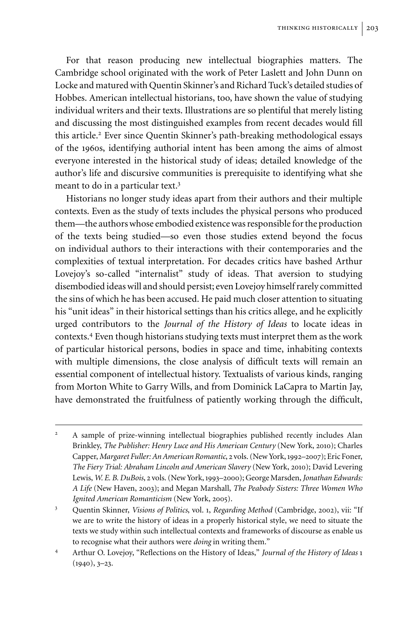For that reason producing new intellectual biographies matters. The Cambridge school originated with the work of Peter Laslett and John Dunn on Locke and matured with Quentin Skinner's and Richard Tuck's detailed studies of Hobbes. American intellectual historians, too, have shown the value of studying individual writers and their texts. Illustrations are so plentiful that merely listing and discussing the most distinguished examples from recent decades would fill this article.<sup>2</sup> Ever since Quentin Skinner's path-breaking methodological essays of the 1960s, identifying authorial intent has been among the aims of almost everyone interested in the historical study of ideas; detailed knowledge of the author's life and discursive communities is prerequisite to identifying what she meant to do in a particular text.<sup>3</sup>

Historians no longer study ideas apart from their authors and their multiple contexts. Even as the study of texts includes the physical persons who produced them—the authors whose embodied existence was responsible for the production of the texts being studied—so even those studies extend beyond the focus on individual authors to their interactions with their contemporaries and the complexities of textual interpretation. For decades critics have bashed Arthur Lovejoy's so-called "internalist" study of ideas. That aversion to studying disembodied ideas will and should persist; even Lovejoy himself rarely committed the sins of which he has been accused. He paid much closer attention to situating his "unit ideas" in their historical settings than his critics allege, and he explicitly urged contributors to the *Journal of the History of Ideas* to locate ideas in contexts.<sup>4</sup> Even though historians studying texts must interpret them as the work of particular historical persons, bodies in space and time, inhabiting contexts with multiple dimensions, the close analysis of difficult texts will remain an essential component of intellectual history. Textualists of various kinds, ranging from Morton White to Garry Wills, and from Dominick LaCapra to Martin Jay, have demonstrated the fruitfulness of patiently working through the difficult,

<sup>&</sup>lt;sup>2</sup> A sample of prize-winning intellectual biographies published recently includes Alan Brinkley, *The Publisher: Henry Luce and His American Century* (New York, 2010); Charles Capper, *Margaret Fuller: An American Romantic*, 2 vols. (New York,1992–2007); Eric Foner, *The Fiery Trial: Abraham Lincoln and American Slavery* (New York, 2010); David Levering Lewis, *W. E. B. DuBois*, 2 vols. (New York,1993–2000); George Marsden,*Jonathan Edwards: A Life* (New Haven, 2003); and Megan Marshall, *The Peabody Sisters: Three Women Who Ignited American Romanticism* (New York, 2005).

<sup>3</sup> Quentin Skinner, *Visions of Politics*, vol. 1, *Regarding Method* (Cambridge, 2002), vii: "If we are to write the history of ideas in a properly historical style, we need to situate the texts we study within such intellectual contexts and frameworks of discourse as enable us to recognise what their authors were *doing* in writing them."

<sup>4</sup> Arthur O. Lovejoy, "Reflections on the History of Ideas," *Journal of the History of Ideas* 1 (1940), 3–23.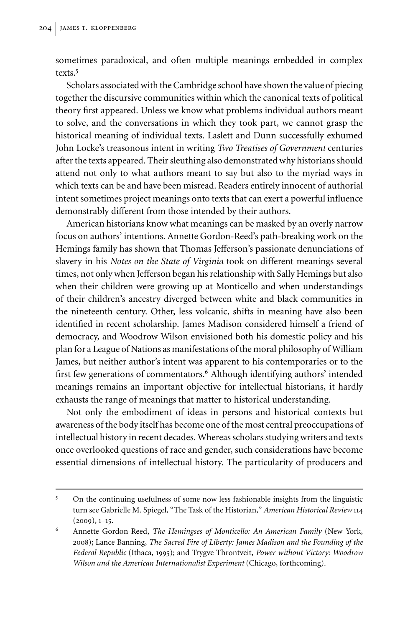sometimes paradoxical, and often multiple meanings embedded in complex texts<sup>5</sup>

Scholars associated with the Cambridge school have shown the value of piecing together the discursive communities within which the canonical texts of political theory first appeared. Unless we know what problems individual authors meant to solve, and the conversations in which they took part, we cannot grasp the historical meaning of individual texts. Laslett and Dunn successfully exhumed John Locke's treasonous intent in writing *Two Treatises of Government* centuries after the texts appeared. Their sleuthing also demonstrated why historians should attend not only to what authors meant to say but also to the myriad ways in which texts can be and have been misread. Readers entirely innocent of authorial intent sometimes project meanings onto texts that can exert a powerful influence demonstrably different from those intended by their authors.

American historians know what meanings can be masked by an overly narrow focus on authors' intentions. Annette Gordon-Reed's path-breaking work on the Hemings family has shown that Thomas Jefferson's passionate denunciations of slavery in his *Notes on the State of Virginia* took on different meanings several times, not only when Jefferson began his relationship with Sally Hemings but also when their children were growing up at Monticello and when understandings of their children's ancestry diverged between white and black communities in the nineteenth century. Other, less volcanic, shifts in meaning have also been identified in recent scholarship. James Madison considered himself a friend of democracy, and Woodrow Wilson envisioned both his domestic policy and his plan for a League of Nations as manifestations of the moral philosophy of William James, but neither author's intent was apparent to his contemporaries or to the first few generations of commentators.<sup>6</sup> Although identifying authors' intended meanings remains an important objective for intellectual historians, it hardly exhausts the range of meanings that matter to historical understanding.

Not only the embodiment of ideas in persons and historical contexts but awareness of the body itself has become one of the most central preoccupations of intellectual history in recent decades. Whereas scholars studying writers and texts once overlooked questions of race and gender, such considerations have become essential dimensions of intellectual history. The particularity of producers and

<sup>5</sup> On the continuing usefulness of some now less fashionable insights from the linguistic turn see Gabrielle M. Spiegel, "The Task of the Historian," *American Historical Review* 114 (2009), 1–15.

<sup>6</sup> Annette Gordon-Reed, *The Hemingses of Monticello: An American Family* (New York, 2008); Lance Banning, *The Sacred Fire of Liberty: James Madison and the Founding of the Federal Republic* (Ithaca, 1995); and Trygve Throntveit, *Power without Victory: Woodrow Wilson and the American Internationalist Experiment* (Chicago, forthcoming).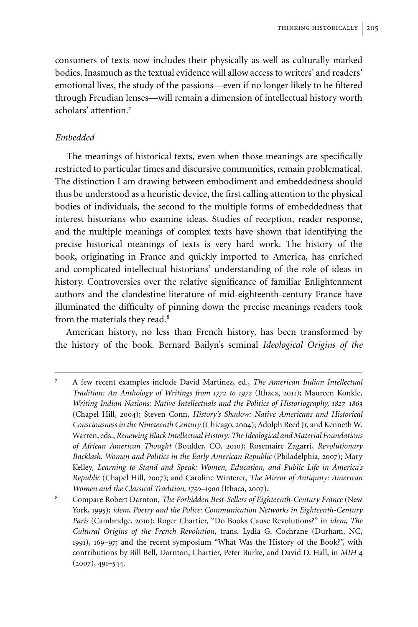consumers of texts now includes their physically as well as culturally marked bodies. Inasmuch as the textual evidence will allow access to writers' and readers' emotional lives, the study of the passions—even if no longer likely to be filtered through Freudian lenses—will remain a dimension of intellectual history worth scholars' attention.<sup>7</sup>

## *Embedded*

The meanings of historical texts, even when those meanings are specifically restricted to particular times and discursive communities, remain problematical. The distinction I am drawing between embodiment and embeddedness should thus be understood as a heuristic device, the first calling attention to the physical bodies of individuals, the second to the multiple forms of embeddedness that interest historians who examine ideas. Studies of reception, reader response, and the multiple meanings of complex texts have shown that identifying the precise historical meanings of texts is very hard work. The history of the book, originating in France and quickly imported to America, has enriched and complicated intellectual historians' understanding of the role of ideas in history. Controversies over the relative significance of familiar Enlightenment authors and the clandestine literature of mid-eighteenth-century France have illuminated the difficulty of pinning down the precise meanings readers took from the materials they read.<sup>8</sup>

American history, no less than French history, has been transformed by the history of the book. Bernard Bailyn's seminal *Ideological Origins of the*

<sup>7</sup> A few recent examples include David Martinez, ed., *The American Indian Intellectual Tradition: An Anthology of Writings from 1772 to 1972* (Ithaca, 2011); Maureen Konkle, *Writing Indian Nations: Native Intellectuals and the Politics of Historiography, 1827–1863* (Chapel Hill, 2004); Steven Conn, *History's Shadow: Native Americans and Historical Consciousness in the Nineteenth Century* (Chicago, 2004); Adolph Reed Jr, and Kenneth W. Warren, eds., *Renewing Black Intellectual History: The Ideological and Material Foundations of African American Thought* (Boulder, CO, 2010); Rosemaire Zagarri, *Revolutionary Backlash: Women and Politics in the Early American Republic* (Philadelphia, 2007); Mary Kelley, *Learning to Stand and Speak: Women, Education, and Public Life in America's Republic* (Chapel Hill, 2007); and Caroline Winterer, *The Mirror of Antiquity: American Women and the Classical Tradition, 1750–1900* (Ithaca, 2007).

<sup>8</sup> Compare Robert Darnton, *The Forbidden Best-Sellers of Eighteenth-Century France* (New York, 1995); *idem*, *Poetry and the Police: Communication Networks in Eighteenth-Century Paris* (Cambridge, 2010); Roger Chartier, "Do Books Cause Revolutions?" in *idem*, *The Cultural Origins of the French Revolution*, trans. Lydia G. Cochrane (Durham, NC, 1991), 169–97; and the recent symposium "What Was the History of the Book?", with contributions by Bill Bell, Darnton, Chartier, Peter Burke, and David D. Hall, in *MIH* 4 (2007), 491–544.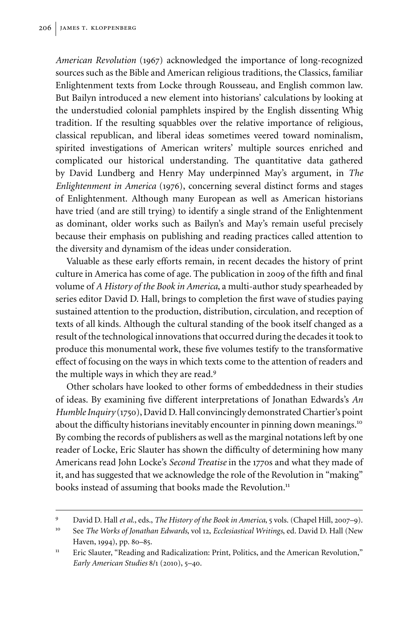*American Revolution* (1967) acknowledged the importance of long-recognized sources such as the Bible and American religious traditions, the Classics, familiar Enlightenment texts from Locke through Rousseau, and English common law. But Bailyn introduced a new element into historians' calculations by looking at the understudied colonial pamphlets inspired by the English dissenting Whig tradition. If the resulting squabbles over the relative importance of religious, classical republican, and liberal ideas sometimes veered toward nominalism, spirited investigations of American writers' multiple sources enriched and complicated our historical understanding. The quantitative data gathered by David Lundberg and Henry May underpinned May's argument, in *The Enlightenment in America* (1976), concerning several distinct forms and stages of Enlightenment. Although many European as well as American historians have tried (and are still trying) to identify a single strand of the Enlightenment as dominant, older works such as Bailyn's and May's remain useful precisely because their emphasis on publishing and reading practices called attention to the diversity and dynamism of the ideas under consideration.

Valuable as these early efforts remain, in recent decades the history of print culture in America has come of age. The publication in 2009 of the fifth and final volume of *A History of the Book in America*, a multi-author study spearheaded by series editor David D. Hall, brings to completion the first wave of studies paying sustained attention to the production, distribution, circulation, and reception of texts of all kinds. Although the cultural standing of the book itself changed as a result of the technological innovations that occurred during the decades it took to produce this monumental work, these five volumes testify to the transformative effect of focusing on the ways in which texts come to the attention of readers and the multiple ways in which they are read.<sup>9</sup>

Other scholars have looked to other forms of embeddedness in their studies of ideas. By examining five different interpretations of Jonathan Edwards's *An Humble Inquiry* (1750), David D. Hall convincingly demonstrated Chartier's point about the difficulty historians inevitably encounter in pinning down meanings.<sup>10</sup> By combing the records of publishers as well as the marginal notations left by one reader of Locke, Eric Slauter has shown the difficulty of determining how many Americans read John Locke's *Second Treatise* in the 1770s and what they made of it, and has suggested that we acknowledge the role of the Revolution in "making" books instead of assuming that books made the Revolution.<sup>11</sup>

<sup>9</sup> David D. Hall *et al.*, eds., *The History of the Book in America*, 5 vols. (Chapel Hill, 2007–9).

<sup>10</sup> See *The Works of Jonathan Edwards*, vol 12, *Ecclesiastical Writings*, ed. David D. Hall (New Haven, 1994), pp. 80–85.

<sup>&</sup>lt;sup>11</sup> Eric Slauter, "Reading and Radicalization: Print, Politics, and the American Revolution," *Early American Studies* 8/1 (2010), 5–40.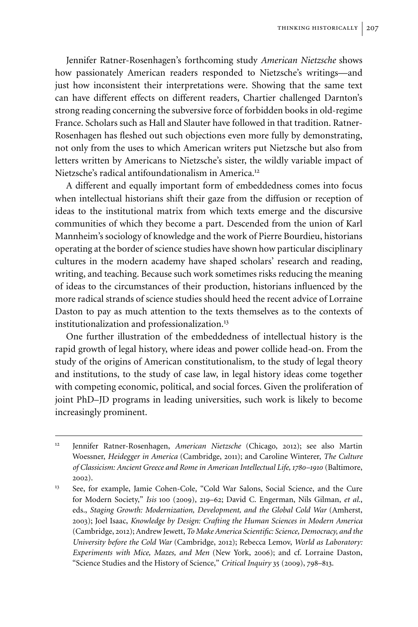Jennifer Ratner-Rosenhagen's forthcoming study *American Nietzsche* shows how passionately American readers responded to Nietzsche's writings—and just how inconsistent their interpretations were. Showing that the same text can have different effects on different readers, Chartier challenged Darnton's strong reading concerning the subversive force of forbidden books in old-regime France. Scholars such as Hall and Slauter have followed in that tradition. Ratner-Rosenhagen has fleshed out such objections even more fully by demonstrating, not only from the uses to which American writers put Nietzsche but also from letters written by Americans to Nietzsche's sister, the wildly variable impact of Nietzsche's radical antifoundationalism in America.<sup>12</sup>

A different and equally important form of embeddedness comes into focus when intellectual historians shift their gaze from the diffusion or reception of ideas to the institutional matrix from which texts emerge and the discursive communities of which they become a part. Descended from the union of Karl Mannheim's sociology of knowledge and the work of Pierre Bourdieu, historians operating at the border of science studies have shown how particular disciplinary cultures in the modern academy have shaped scholars' research and reading, writing, and teaching. Because such work sometimes risks reducing the meaning of ideas to the circumstances of their production, historians influenced by the more radical strands of science studies should heed the recent advice of Lorraine Daston to pay as much attention to the texts themselves as to the contexts of institutionalization and professionalization.<sup>13</sup>

One further illustration of the embeddedness of intellectual history is the rapid growth of legal history, where ideas and power collide head-on. From the study of the origins of American constitutionalism, to the study of legal theory and institutions, to the study of case law, in legal history ideas come together with competing economic, political, and social forces. Given the proliferation of joint PhD–JD programs in leading universities, such work is likely to become increasingly prominent.

<sup>12</sup> Jennifer Ratner-Rosenhagen, *American Nietzsche* (Chicago, 2012); see also Martin Woessner, *Heidegger in America* (Cambridge, 2011); and Caroline Winterer, *The Culture of Classicism: Ancient Greece and Rome in American Intellectual Life, 1780–1910* (Baltimore, 2002).

<sup>&</sup>lt;sup>13</sup> See, for example, Jamie Cohen-Cole, "Cold War Salons, Social Science, and the Cure for Modern Society," *Isis* 100 (2009), 219–62; David C. Engerman, Nils Gilman, *et al.*, eds., *Staging Growth: Modernization, Development, and the Global Cold War* (Amherst, 2003); Joel Isaac, *Knowledge by Design: Crafting the Human Sciences in Modern America* (Cambridge, 2012); Andrew Jewett, *To Make America Scientific: Science, Democracy, and the University before the Cold War* (Cambridge, 2012); Rebecca Lemov, *World as Laboratory: Experiments with Mice, Mazes, and Men* (New York, 2006); and cf. Lorraine Daston, "Science Studies and the History of Science," *Critical Inquiry* 35 (2009), 798–813.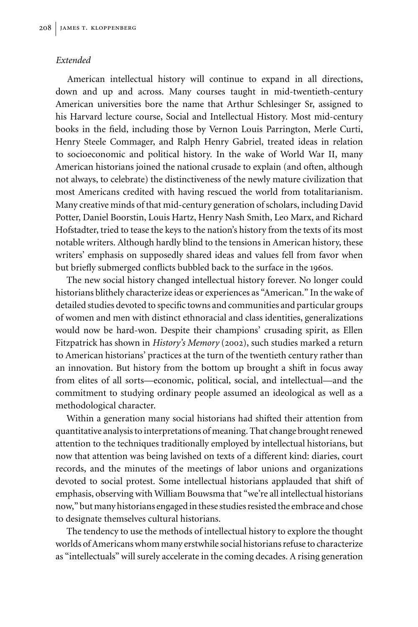#### *Extended*

American intellectual history will continue to expand in all directions, down and up and across. Many courses taught in mid-twentieth-century American universities bore the name that Arthur Schlesinger Sr, assigned to his Harvard lecture course, Social and Intellectual History. Most mid-century books in the field, including those by Vernon Louis Parrington, Merle Curti, Henry Steele Commager, and Ralph Henry Gabriel, treated ideas in relation to socioeconomic and political history. In the wake of World War II, many American historians joined the national crusade to explain (and often, although not always, to celebrate) the distinctiveness of the newly mature civilization that most Americans credited with having rescued the world from totalitarianism. Many creative minds of that mid-century generation of scholars, including David Potter, Daniel Boorstin, Louis Hartz, Henry Nash Smith, Leo Marx, and Richard Hofstadter, tried to tease the keys to the nation's history from the texts of its most notable writers. Although hardly blind to the tensions in American history, these writers' emphasis on supposedly shared ideas and values fell from favor when but briefly submerged conflicts bubbled back to the surface in the 1960s.

The new social history changed intellectual history forever. No longer could historians blithely characterize ideas or experiences as "American." In the wake of detailed studies devoted to specific towns and communities and particular groups of women and men with distinct ethnoracial and class identities, generalizations would now be hard-won. Despite their champions' crusading spirit, as Ellen Fitzpatrick has shown in *History's Memory* (2002), such studies marked a return to American historians' practices at the turn of the twentieth century rather than an innovation. But history from the bottom up brought a shift in focus away from elites of all sorts—economic, political, social, and intellectual—and the commitment to studying ordinary people assumed an ideological as well as a methodological character.

Within a generation many social historians had shifted their attention from quantitative analysis to interpretations of meaning. That change brought renewed attention to the techniques traditionally employed by intellectual historians, but now that attention was being lavished on texts of a different kind: diaries, court records, and the minutes of the meetings of labor unions and organizations devoted to social protest. Some intellectual historians applauded that shift of emphasis, observing with William Bouwsma that "we're all intellectual historians now," but many historians engaged in these studies resisted the embrace and chose to designate themselves cultural historians.

The tendency to use the methods of intellectual history to explore the thought worlds of Americans whom many erstwhile social historians refuse to characterize as "intellectuals" will surely accelerate in the coming decades. A rising generation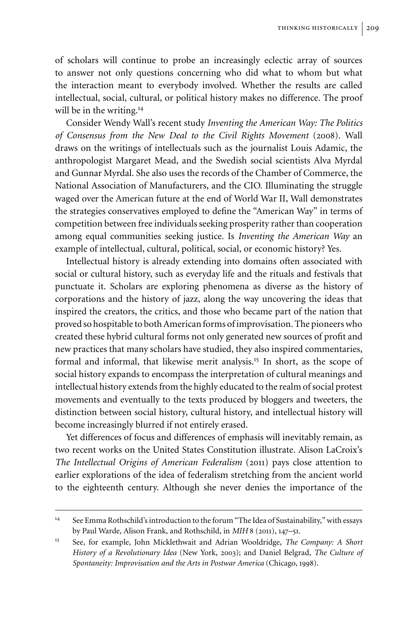of scholars will continue to probe an increasingly eclectic array of sources to answer not only questions concerning who did what to whom but what the interaction meant to everybody involved. Whether the results are called intellectual, social, cultural, or political history makes no difference. The proof will be in the writing.<sup>14</sup>

Consider Wendy Wall's recent study *Inventing the American Way: The Politics of Consensus from the New Deal to the Civil Rights Movement* (2008). Wall draws on the writings of intellectuals such as the journalist Louis Adamic, the anthropologist Margaret Mead, and the Swedish social scientists Alva Myrdal and Gunnar Myrdal. She also uses the records of the Chamber of Commerce, the National Association of Manufacturers, and the CIO. Illuminating the struggle waged over the American future at the end of World War II, Wall demonstrates the strategies conservatives employed to define the "American Way" in terms of competition between free individuals seeking prosperity rather than cooperation among equal communities seeking justice. Is *Inventing the American Way* an example of intellectual, cultural, political, social, or economic history? Yes.

Intellectual history is already extending into domains often associated with social or cultural history, such as everyday life and the rituals and festivals that punctuate it. Scholars are exploring phenomena as diverse as the history of corporations and the history of jazz, along the way uncovering the ideas that inspired the creators, the critics, and those who became part of the nation that proved so hospitable to both American forms of improvisation. The pioneers who created these hybrid cultural forms not only generated new sources of profit and new practices that many scholars have studied, they also inspired commentaries, formal and informal, that likewise merit analysis.<sup>15</sup> In short, as the scope of social history expands to encompass the interpretation of cultural meanings and intellectual history extends from the highly educated to the realm of social protest movements and eventually to the texts produced by bloggers and tweeters, the distinction between social history, cultural history, and intellectual history will become increasingly blurred if not entirely erased.

Yet differences of focus and differences of emphasis will inevitably remain, as two recent works on the United States Constitution illustrate. Alison LaCroix's *The Intellectual Origins of American Federalism* (2011) pays close attention to earlier explorations of the idea of federalism stretching from the ancient world to the eighteenth century. Although she never denies the importance of the

<sup>&</sup>lt;sup>14</sup> See Emma Rothschild's introduction to the forum "The Idea of Sustainability," with essays by Paul Warde, Alison Frank, and Rothschild, in *MIH* 8 (2011), 147–51.

<sup>15</sup> See, for example, John Micklethwait and Adrian Wooldridge, *The Company: A Short History of a Revolutionary Idea* (New York, 2003); and Daniel Belgrad, *The Culture of Spontaneity: Improvisation and the Arts in Postwar America* (Chicago, 1998).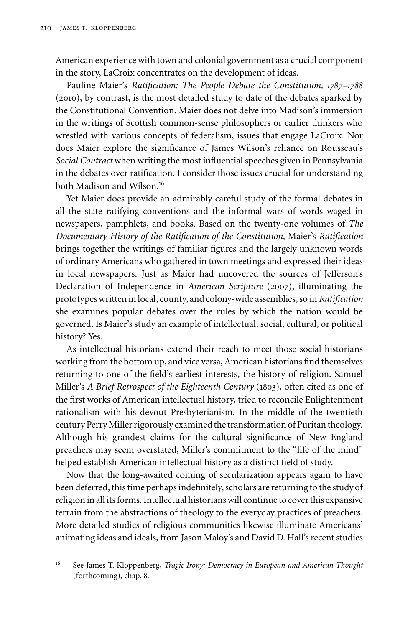American experience with town and colonial government as a crucial component in the story, LaCroix concentrates on the development of ideas.

Pauline Maier's *Ratification: The People Debate the Constitution, 1787–1788* (2010), by contrast, is the most detailed study to date of the debates sparked by the Constitutional Convention. Maier does not delve into Madison's immersion in the writings of Scottish common-sense philosophers or earlier thinkers who wrestled with various concepts of federalism, issues that engage LaCroix. Nor does Maier explore the significance of James Wilson's reliance on Rousseau's *Social Contract* when writing the most influential speeches given in Pennsylvania in the debates over ratification. I consider those issues crucial for understanding both Madison and Wilson.<sup>16</sup>

Yet Maier does provide an admirably careful study of the formal debates in all the state ratifying conventions and the informal wars of words waged in newspapers, pamphlets, and books. Based on the twenty-one volumes of *The Documentary History of the Ratification of the Constitution*, Maier's *Ratification* brings together the writings of familiar figures and the largely unknown words of ordinary Americans who gathered in town meetings and expressed their ideas in local newspapers. Just as Maier had uncovered the sources of Jefferson's Declaration of Independence in *American Scripture* (2007), illuminating the prototypes written in local, county, and colony-wide assemblies, so in *Ratification* she examines popular debates over the rules by which the nation would be governed. Is Maier's study an example of intellectual, social, cultural, or political history? Yes.

As intellectual historians extend their reach to meet those social historians working from the bottom up, and vice versa, American historians find themselves returning to one of the field's earliest interests, the history of religion. Samuel Miller's *A Brief Retrospect of the Eighteenth Century* (1803), often cited as one of the first works of American intellectual history, tried to reconcile Enlightenment rationalism with his devout Presbyterianism. In the middle of the twentieth century Perry Miller rigorously examined the transformation of Puritan theology. Although his grandest claims for the cultural significance of New England preachers may seem overstated, Miller's commitment to the "life of the mind" helped establish American intellectual history as a distinct field of study.

Now that the long-awaited coming of secularization appears again to have been deferred, this time perhaps indefinitely, scholars are returning to the study of religion in all its forms. Intellectual historians will continue to cover this expansive terrain from the abstractions of theology to the everyday practices of preachers. More detailed studies of religious communities likewise illuminate Americans' animating ideas and ideals, from Jason Maloy's and David D. Hall's recent studies

<sup>&</sup>lt;sup>16</sup> See James T. Kloppenberg, *Tragic Irony: Democracy in European and American Thought* (forthcoming), chap. 8.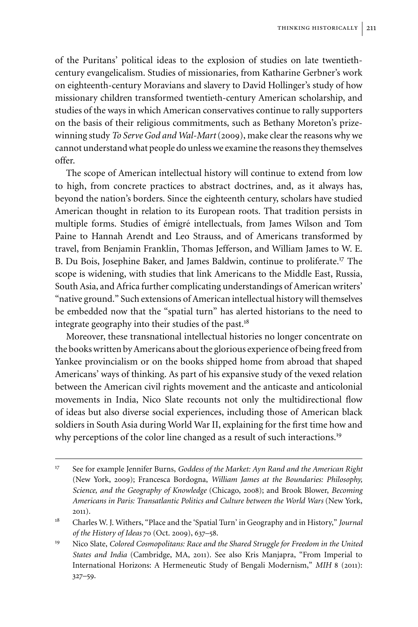of the Puritans' political ideas to the explosion of studies on late twentiethcentury evangelicalism. Studies of missionaries, from Katharine Gerbner's work on eighteenth-century Moravians and slavery to David Hollinger's study of how missionary children transformed twentieth-century American scholarship, and studies of the ways in which American conservatives continue to rally supporters on the basis of their religious commitments, such as Bethany Moreton's prizewinning study *To Serve God and Wal-Mart*(2009), make clear the reasons why we cannot understand what people do unless we examine the reasons they themselves offer.

The scope of American intellectual history will continue to extend from low to high, from concrete practices to abstract doctrines, and, as it always has, beyond the nation's borders. Since the eighteenth century, scholars have studied American thought in relation to its European roots. That tradition persists in multiple forms. Studies of émigré intellectuals, from James Wilson and Tom Paine to Hannah Arendt and Leo Strauss, and of Americans transformed by travel, from Benjamin Franklin, Thomas Jefferson, and William James to W. E. B. Du Bois, Josephine Baker, and James Baldwin, continue to proliferate.<sup>17</sup> The scope is widening, with studies that link Americans to the Middle East, Russia, South Asia, and Africa further complicating understandings of American writers' "native ground." Such extensions of American intellectual history will themselves be embedded now that the "spatial turn" has alerted historians to the need to integrate geography into their studies of the past. $18$ 

Moreover, these transnational intellectual histories no longer concentrate on the books written by Americans about the glorious experience of being freed from Yankee provincialism or on the books shipped home from abroad that shaped Americans' ways of thinking. As part of his expansive study of the vexed relation between the American civil rights movement and the anticaste and anticolonial movements in India, Nico Slate recounts not only the multidirectional flow of ideas but also diverse social experiences, including those of American black soldiers in South Asia during World War II, explaining for the first time how and why perceptions of the color line changed as a result of such interactions.<sup>19</sup>

<sup>&</sup>lt;sup>17</sup> See for example Jennifer Burns, *Goddess of the Market: Ayn Rand and the American Right* (New York, 2009); Francesca Bordogna, *William James at the Boundaries: Philosophy, Science, and the Geography of Knowledge* (Chicago, 2008); and Brook Blower, *Becoming Americans in Paris: Transatlantic Politics and Culture between the World Wars* (New York, 2011).

<sup>18</sup> Charles W. J. Withers, "Place and the 'Spatial Turn' in Geography and in History," *Journal of the History of Ideas* 70 (Oct. 2009), 637–58.

<sup>19</sup> Nico Slate, *Colored Cosmopolitans: Race and the Shared Struggle for Freedom in the United States and India* (Cambridge, MA, 2011). See also Kris Manjapra, "From Imperial to International Horizons: A Hermeneutic Study of Bengali Modernism," *MIH* 8 (2011): 327–59.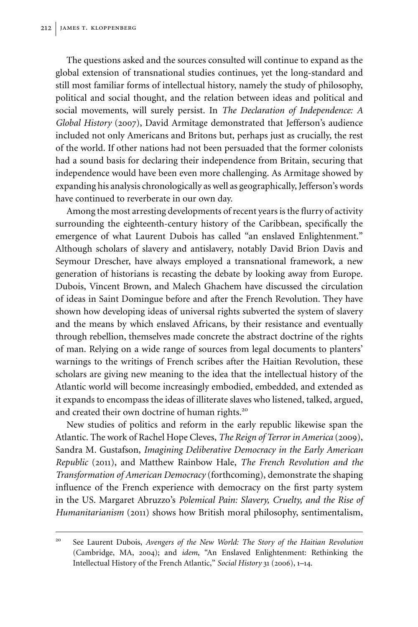The questions asked and the sources consulted will continue to expand as the global extension of transnational studies continues, yet the long-standard and still most familiar forms of intellectual history, namely the study of philosophy, political and social thought, and the relation between ideas and political and social movements, will surely persist. In *The Declaration of Independence: A Global History* (2007), David Armitage demonstrated that Jefferson's audience included not only Americans and Britons but, perhaps just as crucially, the rest of the world. If other nations had not been persuaded that the former colonists had a sound basis for declaring their independence from Britain, securing that independence would have been even more challenging. As Armitage showed by expanding his analysis chronologically as well as geographically, Jefferson's words have continued to reverberate in our own day.

Among the most arresting developments of recent years is the flurry of activity surrounding the eighteenth-century history of the Caribbean, specifically the emergence of what Laurent Dubois has called "an enslaved Enlightenment." Although scholars of slavery and antislavery, notably David Brion Davis and Seymour Drescher, have always employed a transnational framework, a new generation of historians is recasting the debate by looking away from Europe. Dubois, Vincent Brown, and Malech Ghachem have discussed the circulation of ideas in Saint Domingue before and after the French Revolution. They have shown how developing ideas of universal rights subverted the system of slavery and the means by which enslaved Africans, by their resistance and eventually through rebellion, themselves made concrete the abstract doctrine of the rights of man. Relying on a wide range of sources from legal documents to planters' warnings to the writings of French scribes after the Haitian Revolution, these scholars are giving new meaning to the idea that the intellectual history of the Atlantic world will become increasingly embodied, embedded, and extended as it expands to encompass the ideas of illiterate slaves who listened, talked, argued, and created their own doctrine of human rights.<sup>20</sup>

New studies of politics and reform in the early republic likewise span the Atlantic. The work of Rachel Hope Cleves, *The Reign of Terror in America* (2009), Sandra M. Gustafson, *Imagining Deliberative Democracy in the Early American Republic* (2011), and Matthew Rainbow Hale, *The French Revolution and the Transformation of American Democracy* (forthcoming), demonstrate the shaping influence of the French experience with democracy on the first party system in the US. Margaret Abruzzo's *Polemical Pain: Slavery, Cruelty, and the Rise of Humanitarianism* (2011) shows how British moral philosophy, sentimentalism,

<sup>20</sup> See Laurent Dubois, *Avengers of the New World: The Story of the Haitian Revolution* (Cambridge, MA, 2004); and *idem*, "An Enslaved Enlightenment: Rethinking the Intellectual History of the French Atlantic," *Social History* 31 (2006), 1–14.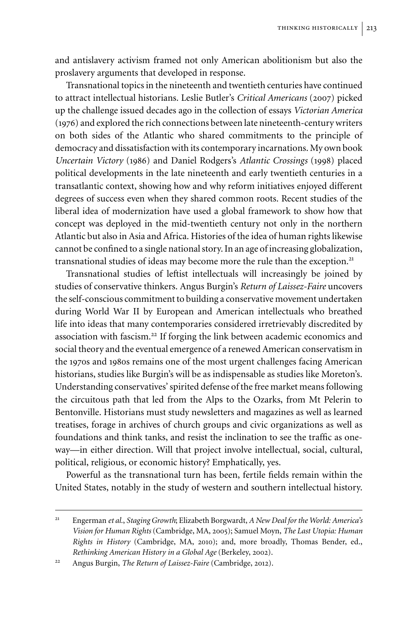and antislavery activism framed not only American abolitionism but also the proslavery arguments that developed in response.

Transnational topics in the nineteenth and twentieth centuries have continued to attract intellectual historians. Leslie Butler's *Critical Americans* (2007) picked up the challenge issued decades ago in the collection of essays *Victorian America* (1976) and explored the rich connections between late nineteenth-century writers on both sides of the Atlantic who shared commitments to the principle of democracy and dissatisfaction with its contemporary incarnations. My own book *Uncertain Victory* (1986) and Daniel Rodgers's *Atlantic Crossings* (1998) placed political developments in the late nineteenth and early twentieth centuries in a transatlantic context, showing how and why reform initiatives enjoyed different degrees of success even when they shared common roots. Recent studies of the liberal idea of modernization have used a global framework to show how that concept was deployed in the mid-twentieth century not only in the northern Atlantic but also in Asia and Africa. Histories of the idea of human rights likewise cannot be confined to a single national story. In an age of increasing globalization, transnational studies of ideas may become more the rule than the exception.<sup>21</sup>

Transnational studies of leftist intellectuals will increasingly be joined by studies of conservative thinkers. Angus Burgin's *Return of Laissez-Faire* uncovers the self-conscious commitment to building a conservative movement undertaken during World War II by European and American intellectuals who breathed life into ideas that many contemporaries considered irretrievably discredited by association with fascism.<sup>22</sup> If forging the link between academic economics and social theory and the eventual emergence of a renewed American conservatism in the 1970s and 1980s remains one of the most urgent challenges facing American historians, studies like Burgin's will be as indispensable as studies like Moreton's. Understanding conservatives' spirited defense of the free market means following the circuitous path that led from the Alps to the Ozarks, from Mt Pelerin to Bentonville. Historians must study newsletters and magazines as well as learned treatises, forage in archives of church groups and civic organizations as well as foundations and think tanks, and resist the inclination to see the traffic as oneway—in either direction. Will that project involve intellectual, social, cultural, political, religious, or economic history? Emphatically, yes.

Powerful as the transnational turn has been, fertile fields remain within the United States, notably in the study of western and southern intellectual history.

<sup>21</sup> Engerman *et al.*, *Staging Growth*; Elizabeth Borgwardt, *A New Deal for the World: America's Vision for Human Rights* (Cambridge, MA, 2005); Samuel Moyn, *The Last Utopia: Human Rights in History* (Cambridge, MA, 2010); and, more broadly, Thomas Bender, ed., *Rethinking American History in a Global Age* (Berkeley, 2002).

<sup>22</sup> Angus Burgin, *The Return of Laissez-Faire* (Cambridge, 2012).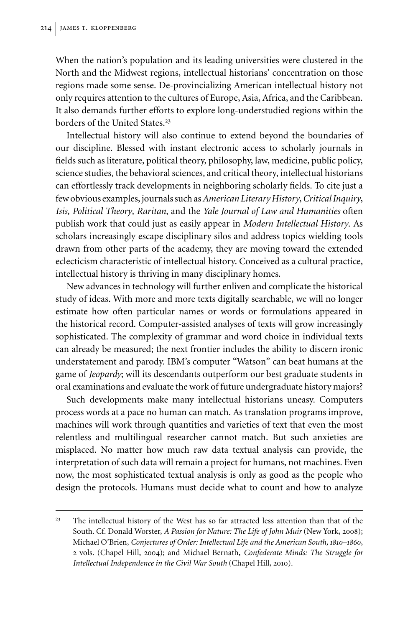When the nation's population and its leading universities were clustered in the North and the Midwest regions, intellectual historians' concentration on those regions made some sense. De-provincializing American intellectual history not only requires attention to the cultures of Europe, Asia, Africa, and the Caribbean. It also demands further efforts to explore long-understudied regions within the borders of the United States.<sup>23</sup>

Intellectual history will also continue to extend beyond the boundaries of our discipline. Blessed with instant electronic access to scholarly journals in fields such as literature, political theory, philosophy, law, medicine, public policy, science studies, the behavioral sciences, and critical theory, intellectual historians can effortlessly track developments in neighboring scholarly fields. To cite just a few obvious examples, journals such as*American Literary History*,*Critical Inquiry*, *Isis*, *Political Theory*, *Raritan*, and the *Yale Journal of Law and Humanities* often publish work that could just as easily appear in *Modern Intellectual History*. As scholars increasingly escape disciplinary silos and address topics wielding tools drawn from other parts of the academy, they are moving toward the extended eclecticism characteristic of intellectual history. Conceived as a cultural practice, intellectual history is thriving in many disciplinary homes.

New advances in technology will further enliven and complicate the historical study of ideas. With more and more texts digitally searchable, we will no longer estimate how often particular names or words or formulations appeared in the historical record. Computer-assisted analyses of texts will grow increasingly sophisticated. The complexity of grammar and word choice in individual texts can already be measured; the next frontier includes the ability to discern ironic understatement and parody. IBM's computer "Watson" can beat humans at the game of *Jeopardy*; will its descendants outperform our best graduate students in oral examinations and evaluate the work of future undergraduate history majors?

Such developments make many intellectual historians uneasy. Computers process words at a pace no human can match. As translation programs improve, machines will work through quantities and varieties of text that even the most relentless and multilingual researcher cannot match. But such anxieties are misplaced. No matter how much raw data textual analysis can provide, the interpretation of such data will remain a project for humans, not machines. Even now, the most sophisticated textual analysis is only as good as the people who design the protocols. Humans must decide what to count and how to analyze

<sup>&</sup>lt;sup>23</sup> The intellectual history of the West has so far attracted less attention than that of the South. Cf. Donald Worster, *A Passion for Nature: The Life of John Muir* (New York, 2008); Michael O'Brien, *Conjectures of Order: Intellectual Life and the American South, 1810–1860*, 2 vols. (Chapel Hill, 2004); and Michael Bernath, *Confederate Minds: The Struggle for Intellectual Independence in the Civil War South* (Chapel Hill, 2010).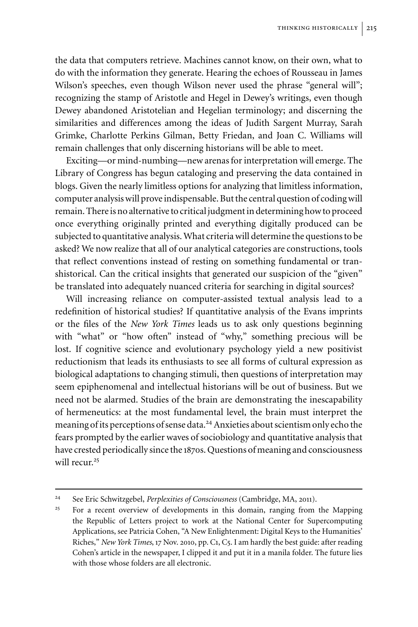the data that computers retrieve. Machines cannot know, on their own, what to do with the information they generate. Hearing the echoes of Rousseau in James Wilson's speeches, even though Wilson never used the phrase "general will"; recognizing the stamp of Aristotle and Hegel in Dewey's writings, even though Dewey abandoned Aristotelian and Hegelian terminology; and discerning the similarities and differences among the ideas of Judith Sargent Murray, Sarah Grimke, Charlotte Perkins Gilman, Betty Friedan, and Joan C. Williams will remain challenges that only discerning historians will be able to meet.

Exciting—or mind-numbing—new arenas for interpretation will emerge. The Library of Congress has begun cataloging and preserving the data contained in blogs. Given the nearly limitless options for analyzing that limitless information, computer analysis will prove indispensable. But the central question of coding will remain. There is no alternative to critical judgment in determining how to proceed once everything originally printed and everything digitally produced can be subjected to quantitative analysis. What criteria will determine the questions to be asked? We now realize that all of our analytical categories are constructions, tools that reflect conventions instead of resting on something fundamental or transhistorical. Can the critical insights that generated our suspicion of the "given" be translated into adequately nuanced criteria for searching in digital sources?

Will increasing reliance on computer-assisted textual analysis lead to a redefinition of historical studies? If quantitative analysis of the Evans imprints or the files of the *New York Times* leads us to ask only questions beginning with "what" or "how often" instead of "why," something precious will be lost. If cognitive science and evolutionary psychology yield a new positivist reductionism that leads its enthusiasts to see all forms of cultural expression as biological adaptations to changing stimuli, then questions of interpretation may seem epiphenomenal and intellectual historians will be out of business. But we need not be alarmed. Studies of the brain are demonstrating the inescapability of hermeneutics: at the most fundamental level, the brain must interpret the meaning of its perceptions of sense data.<sup>24</sup> Anxieties about scientism only echo the fears prompted by the earlier waves of sociobiology and quantitative analysis that have crested periodically since the 1870s. Questions of meaning and consciousness will recur.<sup>25</sup>

<sup>24</sup> See Eric Schwitzgebel, *Perplexities of Consciousness* (Cambridge, MA, 2011).

<sup>&</sup>lt;sup>25</sup> For a recent overview of developments in this domain, ranging from the Mapping the Republic of Letters project to work at the National Center for Supercomputing Applications, see Patricia Cohen, "A New Enlightenment: Digital Keys to the Humanities' Riches," *New York Times*, 17 Nov. 2010, pp. C1, C5. I am hardly the best guide: after reading Cohen's article in the newspaper, I clipped it and put it in a manila folder. The future lies with those whose folders are all electronic.